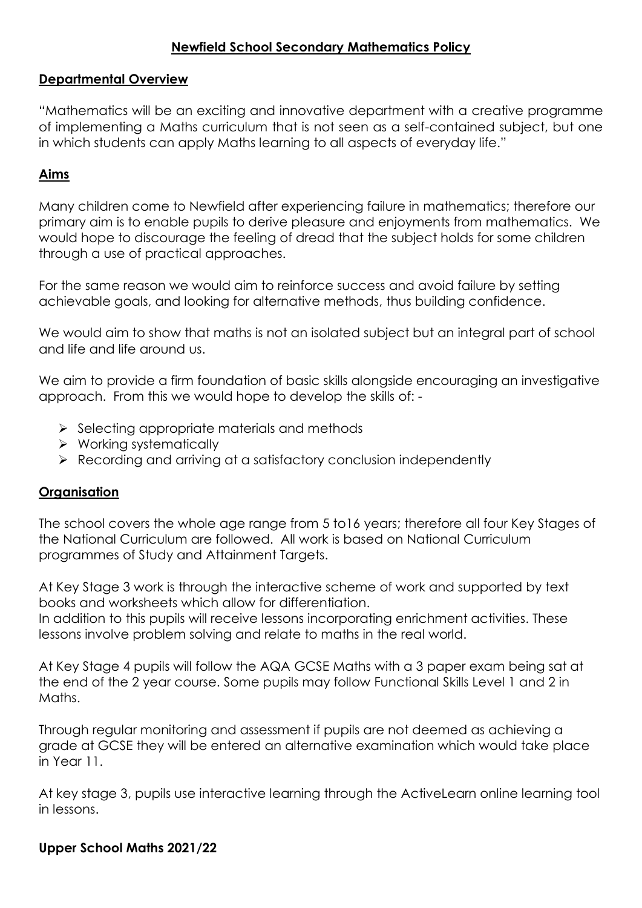# **Newfield School Secondary Mathematics Policy**

#### **Departmental Overview**

"Mathematics will be an exciting and innovative department with a creative programme of implementing a Maths curriculum that is not seen as a self-contained subject, but one in which students can apply Maths learning to all aspects of everyday life."

### **Aims**

Many children come to Newfield after experiencing failure in mathematics; therefore our primary aim is to enable pupils to derive pleasure and enjoyments from mathematics. We would hope to discourage the feeling of dread that the subject holds for some children through a use of practical approaches.

For the same reason we would aim to reinforce success and avoid failure by setting achievable goals, and looking for alternative methods, thus building confidence.

We would aim to show that maths is not an isolated subject but an integral part of school and life and life around us.

We aim to provide a firm foundation of basic skills alongside encouraging an investigative approach. From this we would hope to develop the skills of: -

- $\triangleright$  Selecting appropriate materials and methods
- $\triangleright$  Working systematically
- Recording and arriving at a satisfactory conclusion independently

#### **Organisation**

The school covers the whole age range from 5 to16 years; therefore all four Key Stages of the National Curriculum are followed. All work is based on National Curriculum programmes of Study and Attainment Targets.

At Key Stage 3 work is through the interactive scheme of work and supported by text books and worksheets which allow for differentiation. In addition to this pupils will receive lessons incorporating enrichment activities. These lessons involve problem solving and relate to maths in the real world.

At Key Stage 4 pupils will follow the AQA GCSE Maths with a 3 paper exam being sat at the end of the 2 year course. Some pupils may follow Functional Skills Level 1 and 2 in Maths.

Through regular monitoring and assessment if pupils are not deemed as achieving a grade at GCSE they will be entered an alternative examination which would take place in Year 11.

At key stage 3, pupils use interactive learning through the ActiveLearn online learning tool in lessons.

#### **Upper School Maths 2021/22**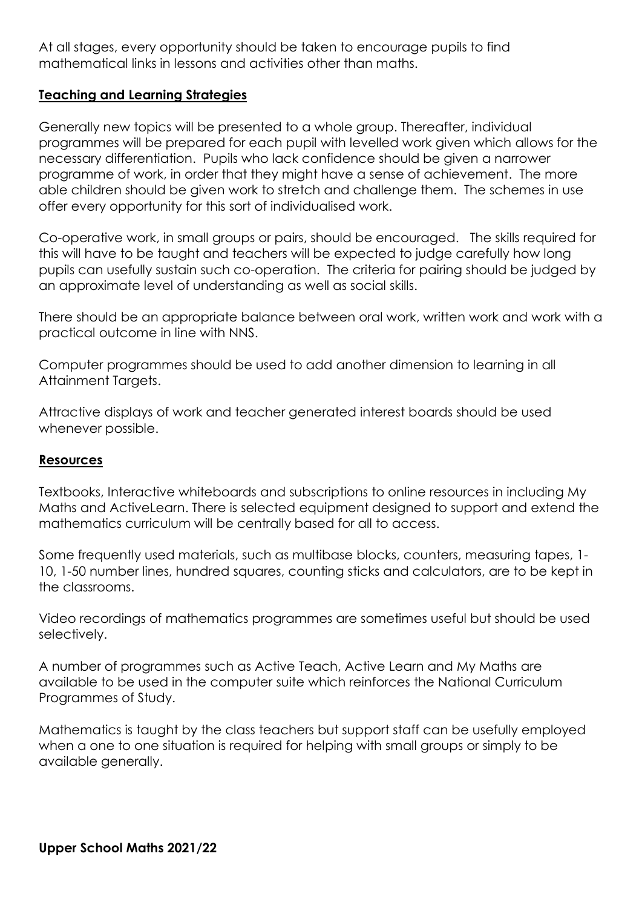At all stages, every opportunity should be taken to encourage pupils to find mathematical links in lessons and activities other than maths.

## **Teaching and Learning Strategies**

Generally new topics will be presented to a whole group. Thereafter, individual programmes will be prepared for each pupil with levelled work given which allows for the necessary differentiation. Pupils who lack confidence should be given a narrower programme of work, in order that they might have a sense of achievement. The more able children should be given work to stretch and challenge them. The schemes in use offer every opportunity for this sort of individualised work.

Co-operative work, in small groups or pairs, should be encouraged. The skills required for this will have to be taught and teachers will be expected to judge carefully how long pupils can usefully sustain such co-operation. The criteria for pairing should be judged by an approximate level of understanding as well as social skills.

There should be an appropriate balance between oral work, written work and work with a practical outcome in line with NNS.

Computer programmes should be used to add another dimension to learning in all Attainment Targets.

Attractive displays of work and teacher generated interest boards should be used whenever possible.

#### **Resources**

Textbooks, Interactive whiteboards and subscriptions to online resources in including My Maths and ActiveLearn. There is selected equipment designed to support and extend the mathematics curriculum will be centrally based for all to access.

Some frequently used materials, such as multibase blocks, counters, measuring tapes, 1- 10, 1-50 number lines, hundred squares, counting sticks and calculators, are to be kept in the classrooms.

Video recordings of mathematics programmes are sometimes useful but should be used selectively.

A number of programmes such as Active Teach, Active Learn and My Maths are available to be used in the computer suite which reinforces the National Curriculum Programmes of Study.

Mathematics is taught by the class teachers but support staff can be usefully employed when a one to one situation is required for helping with small groups or simply to be available generally.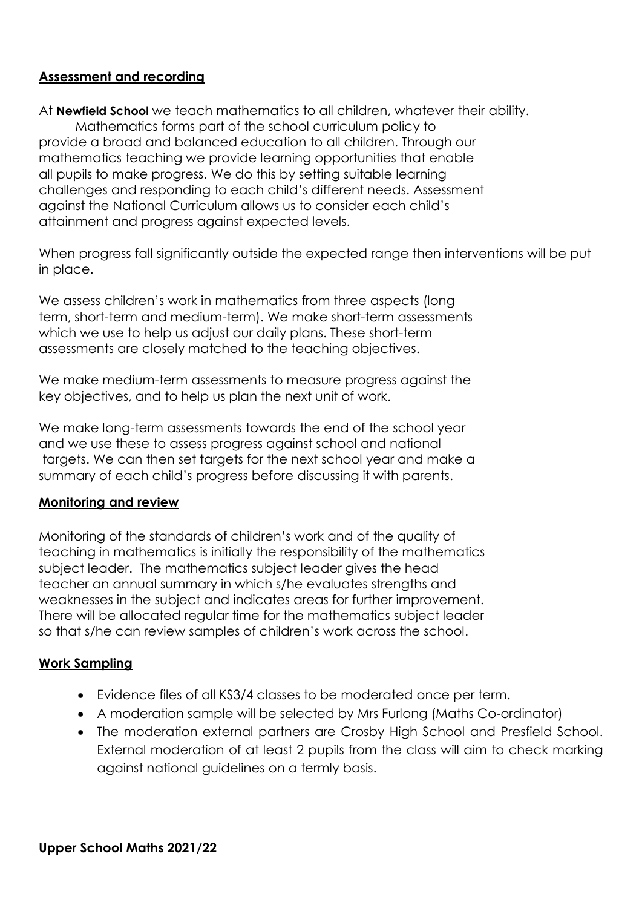# **Assessment and recording**

At **Newfield School** we teach mathematics to all children, whatever their ability.

Mathematics forms part of the school curriculum policy to provide a broad and balanced education to all children. Through our mathematics teaching we provide learning opportunities that enable all pupils to make progress. We do this by setting suitable learning challenges and responding to each child's different needs. Assessment against the National Curriculum allows us to consider each child's attainment and progress against expected levels.

When progress fall significantly outside the expected range then interventions will be put in place.

We assess children's work in mathematics from three aspects (long term, short-term and medium-term). We make short-term assessments which we use to help us adjust our daily plans. These short-term assessments are closely matched to the teaching objectives.

We make medium-term assessments to measure progress against the key objectives, and to help us plan the next unit of work.

We make long-term assessments towards the end of the school year and we use these to assess progress against school and national targets. We can then set targets for the next school year and make a summary of each child's progress before discussing it with parents.

#### **Monitoring and review**

Monitoring of the standards of children's work and of the quality of teaching in mathematics is initially the responsibility of the mathematics subject leader. The mathematics subject leader gives the head teacher an annual summary in which s/he evaluates strengths and weaknesses in the subject and indicates areas for further improvement. There will be allocated regular time for the mathematics subject leader so that s/he can review samples of children's work across the school.

#### **Work Sampling**

- Evidence files of all KS3/4 classes to be moderated once per term.
- A moderation sample will be selected by Mrs Furlong (Maths Co-ordinator)
- The moderation external partners are Crosby High School and Presfield School. External moderation of at least 2 pupils from the class will aim to check marking against national guidelines on a termly basis.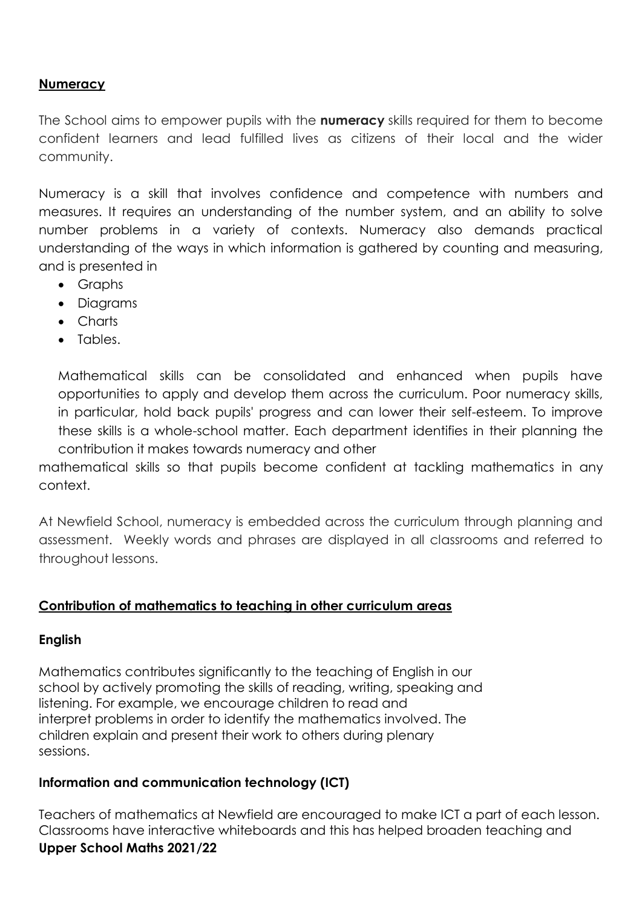# **Numeracy**

The School aims to empower pupils with the **numeracy** skills required for them to become confident learners and lead fulfilled lives as citizens of their local and the wider community.

Numeracy is a skill that involves confidence and competence with numbers and measures. It requires an understanding of the number system, and an ability to solve number problems in a variety of contexts. Numeracy also demands practical understanding of the ways in which information is gathered by counting and measuring, and is presented in

- Graphs
- Diagrams
- Charts
- Tables.

Mathematical skills can be consolidated and enhanced when pupils have opportunities to apply and develop them across the curriculum. Poor numeracy skills, in particular, hold back pupils' progress and can lower their self-esteem. To improve these skills is a whole-school matter. Each department identifies in their planning the contribution it makes towards numeracy and other

mathematical skills so that pupils become confident at tackling mathematics in any context.

At Newfield School, numeracy is embedded across the curriculum through planning and assessment. Weekly words and phrases are displayed in all classrooms and referred to throughout lessons.

#### **Contribution of mathematics to teaching in other curriculum areas**

#### **English**

Mathematics contributes significantly to the teaching of English in our school by actively promoting the skills of reading, writing, speaking and listening. For example, we encourage children to read and interpret problems in order to identify the mathematics involved. The children explain and present their work to others during plenary sessions.

# **Information and communication technology (ICT)**

**Upper School Maths 2021/22** Teachers of mathematics at Newfield are encouraged to make ICT a part of each lesson. Classrooms have interactive whiteboards and this has helped broaden teaching and